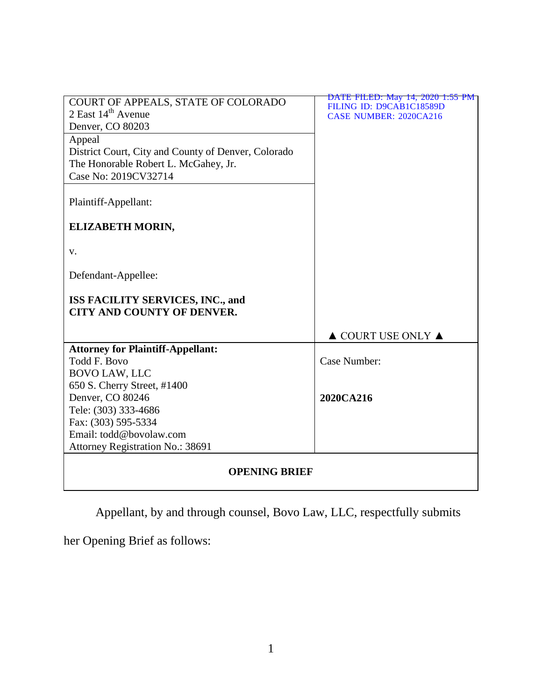| COURT OF APPEALS, STATE OF COLORADO                 | DATE FILED: May 14, 2020 1:55 PM                          |
|-----------------------------------------------------|-----------------------------------------------------------|
| 2 East $14th$ Avenue                                | FILING ID: D9CAB1C18589D<br><b>CASE NUMBER: 2020CA216</b> |
| Denver, CO 80203                                    |                                                           |
| Appeal                                              |                                                           |
| District Court, City and County of Denver, Colorado |                                                           |
| The Honorable Robert L. McGahey, Jr.                |                                                           |
| Case No: 2019CV32714                                |                                                           |
|                                                     |                                                           |
| Plaintiff-Appellant:                                |                                                           |
|                                                     |                                                           |
| ELIZABETH MORIN,                                    |                                                           |
|                                                     |                                                           |
| V.                                                  |                                                           |
|                                                     |                                                           |
| Defendant-Appellee:                                 |                                                           |
|                                                     |                                                           |
| ISS FACILITY SERVICES, INC., and                    |                                                           |
| <b>CITY AND COUNTY OF DENVER.</b>                   |                                                           |
|                                                     | $\triangle$ COURT USE ONLY $\triangle$                    |
|                                                     |                                                           |
|                                                     |                                                           |
| <b>Attorney for Plaintiff-Appellant:</b>            |                                                           |
| Todd F. Bovo                                        | Case Number:                                              |
| <b>BOVO LAW, LLC</b>                                |                                                           |
| 650 S. Cherry Street, #1400<br>Denver, CO 80246     | 2020CA216                                                 |
| Tele: (303) 333-4686                                |                                                           |
| Fax: (303) 595-5334                                 |                                                           |
| Email: todd@bovolaw.com                             |                                                           |
| Attorney Registration No.: 38691                    |                                                           |
|                                                     |                                                           |
| <b>OPENING BRIEF</b>                                |                                                           |

Appellant, by and through counsel, Bovo Law, LLC, respectfully submits

her Opening Brief as follows: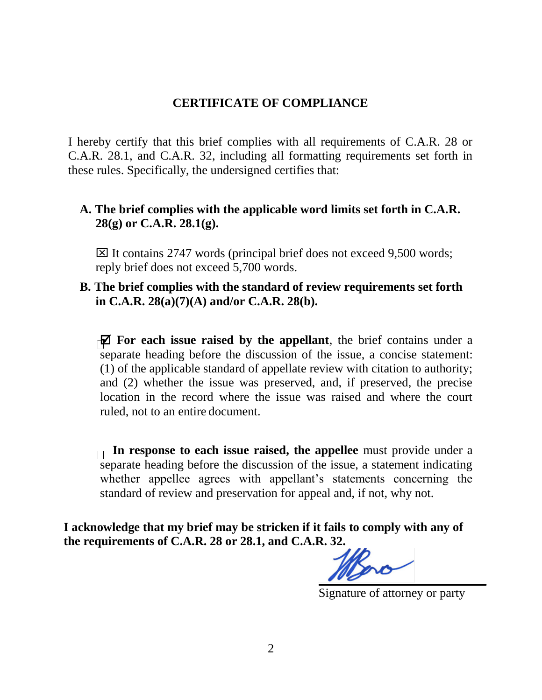## **CERTIFICATE OF COMPLIANCE**

I hereby certify that this brief complies with all requirements of C.A.R. 28 or C.A.R. 28.1, and C.A.R. 32, including all formatting requirements set forth in these rules. Specifically, the undersigned certifies that:

# **A. The brief complies with the applicable word limits set forth in C.A.R. 28(g) or C.A.R. 28.1(g).**

 $\boxtimes$  It contains 2747 words (principal brief does not exceed 9,500 words; reply brief does not exceed 5,700 words.

## **B. The brief complies with the standard of review requirements set forth in C.A.R. 28(a)(7)(A) and/or C.A.R. 28(b).**

 **For each issue raised by the appellant**, the brief contains under a separate heading before the discussion of the issue, a concise statement: (1) of the applicable standard of appellate review with citation to authority; and (2) whether the issue was preserved, and, if preserved, the precise location in the record where the issue was raised and where the court ruled, not to an entire document.

**In response to each issue raised, the appellee** must provide under a separate heading before the discussion of the issue, a statement indicating whether appellee agrees with appellant's statements concerning the standard of review and preservation for appeal and, if not, why not.

**I acknowledge that my brief may be stricken if it fails to comply with any of the requirements of C.A.R. 28 or 28.1, and C.A.R. 32.**

Signature of attorney or party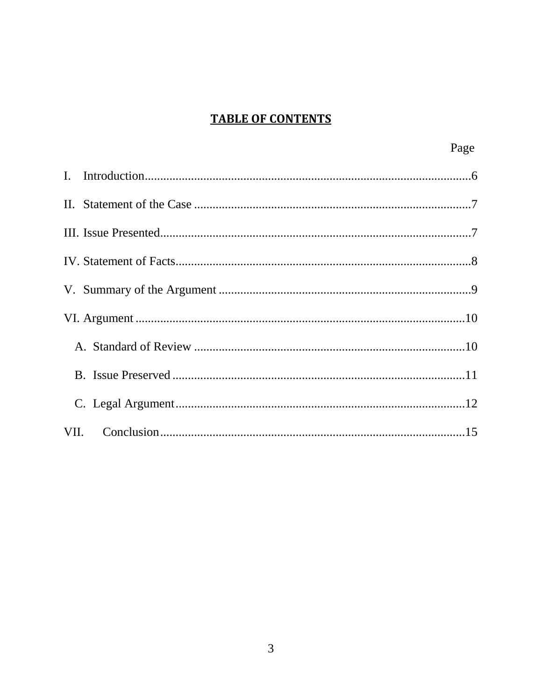# **TABLE OF CONTENTS**

| Page |
|------|
|      |
|      |
|      |
|      |
|      |
|      |
|      |
|      |
|      |
|      |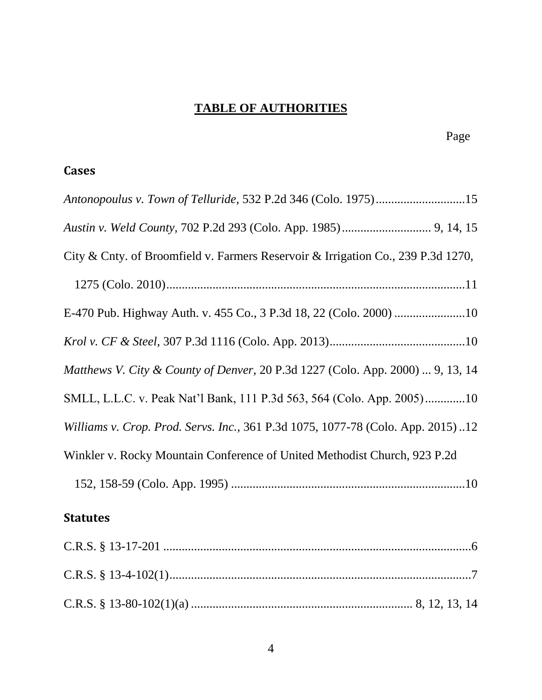# **TABLE OF AUTHORITIES**

# **Cases**

| Antonopoulus v. Town of Telluride, 532 P.2d 346 (Colo. 1975)15                   |
|----------------------------------------------------------------------------------|
|                                                                                  |
| City & Cnty. of Broomfield v. Farmers Reservoir & Irrigation Co., 239 P.3d 1270, |
|                                                                                  |
|                                                                                  |
|                                                                                  |
| Matthews V. City & County of Denver, 20 P.3d 1227 (Colo. App. 2000)  9, 13, 14   |
| SMLL, L.L.C. v. Peak Nat'l Bank, 111 P.3d 563, 564 (Colo. App. 2005)10           |
| Williams v. Crop. Prod. Servs. Inc., 361 P.3d 1075, 1077-78 (Colo. App. 2015)12  |
| Winkler v. Rocky Mountain Conference of United Methodist Church, 923 P.2d        |
|                                                                                  |
| <b>Statutes</b>                                                                  |
|                                                                                  |
|                                                                                  |

C.R.S. § 13-4-102(1)..................................................................................................7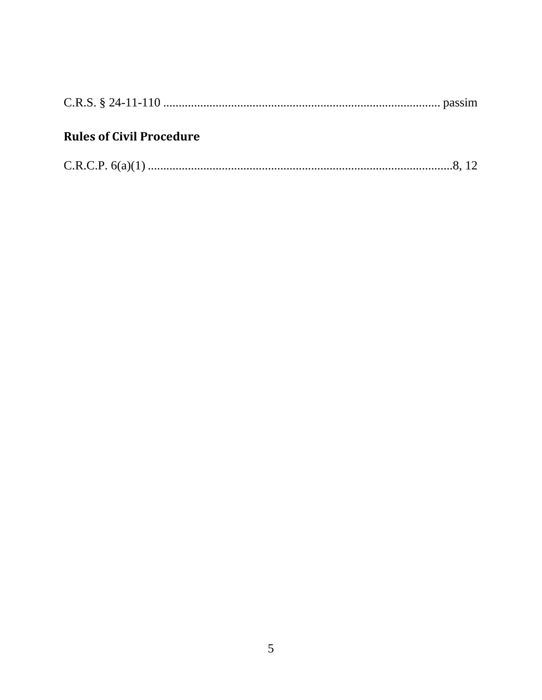# **Rules of Civil Procedure**

|--|--|--|--|--|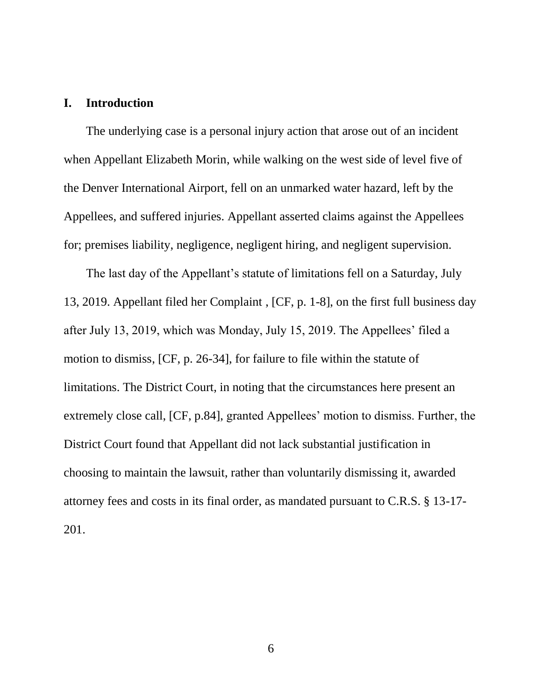#### **I. Introduction**

The underlying case is a personal injury action that arose out of an incident when Appellant Elizabeth Morin, while walking on the west side of level five of the Denver International Airport, fell on an unmarked water hazard, left by the Appellees, and suffered injuries. Appellant asserted claims against the Appellees for; premises liability, negligence, negligent hiring, and negligent supervision.

The last day of the Appellant's statute of limitations fell on a Saturday, July 13, 2019. Appellant filed her Complaint , [CF, p. 1-8], on the first full business day after July 13, 2019, which was Monday, July 15, 2019. The Appellees' filed a motion to dismiss, [CF, p. 26-34], for failure to file within the statute of limitations. The District Court, in noting that the circumstances here present an extremely close call, [CF, p.84], granted Appellees' motion to dismiss. Further, the District Court found that Appellant did not lack substantial justification in choosing to maintain the lawsuit, rather than voluntarily dismissing it, awarded attorney fees and costs in its final order, as mandated pursuant to C.R.S. § 13-17- 201.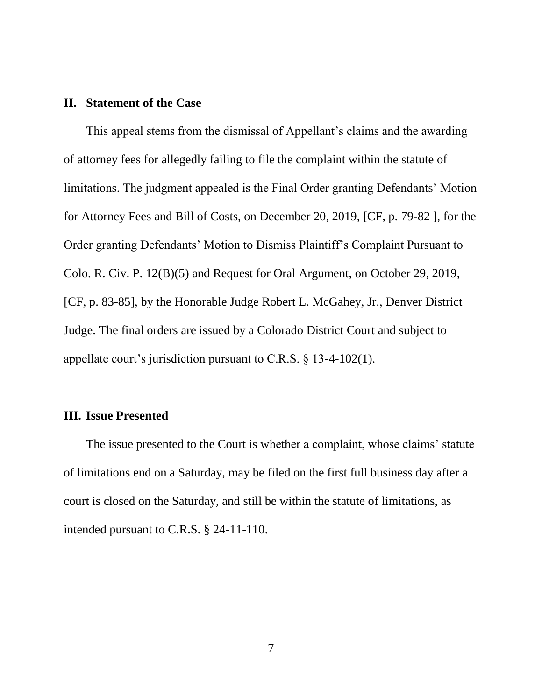### **II. Statement of the Case**

This appeal stems from the dismissal of Appellant's claims and the awarding of attorney fees for allegedly failing to file the complaint within the statute of limitations. The judgment appealed is the Final Order granting Defendants' Motion for Attorney Fees and Bill of Costs, on December 20, 2019, [CF, p. 79-82 ], for the Order granting Defendants' Motion to Dismiss Plaintiff's Complaint Pursuant to Colo. R. Civ. P. 12(B)(5) and Request for Oral Argument, on October 29, 2019, [CF, p. 83-85], by the Honorable Judge Robert L. McGahey, Jr., Denver District Judge. The final orders are issued by a Colorado District Court and subject to appellate court's jurisdiction pursuant to C.R.S. § 13-4-102(1).

#### **III. Issue Presented**

The issue presented to the Court is whether a complaint, whose claims' statute of limitations end on a Saturday, may be filed on the first full business day after a court is closed on the Saturday, and still be within the statute of limitations, as intended pursuant to C.R.S. § 24-11-110.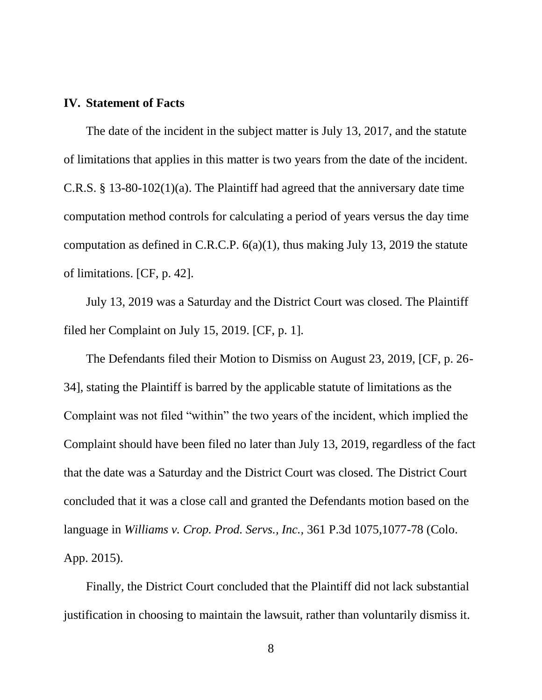#### **IV. Statement of Facts**

The date of the incident in the subject matter is July 13, 2017, and the statute of limitations that applies in this matter is two years from the date of the incident. C.R.S. § 13-80-102(1)(a). The Plaintiff had agreed that the anniversary date time computation method controls for calculating a period of years versus the day time computation as defined in C.R.C.P. 6(a)(1), thus making July 13, 2019 the statute of limitations. [CF, p. 42].

July 13, 2019 was a Saturday and the District Court was closed. The Plaintiff filed her Complaint on July 15, 2019. [CF, p. 1].

The Defendants filed their Motion to Dismiss on August 23, 2019, [CF, p. 26- 34], stating the Plaintiff is barred by the applicable statute of limitations as the Complaint was not filed "within" the two years of the incident, which implied the Complaint should have been filed no later than July 13, 2019, regardless of the fact that the date was a Saturday and the District Court was closed. The District Court concluded that it was a close call and granted the Defendants motion based on the language in *Williams v. Crop. Prod. Servs., Inc.,* 361 P.3d 1075,1077-78 (Colo. App. 2015).

Finally, the District Court concluded that the Plaintiff did not lack substantial justification in choosing to maintain the lawsuit, rather than voluntarily dismiss it.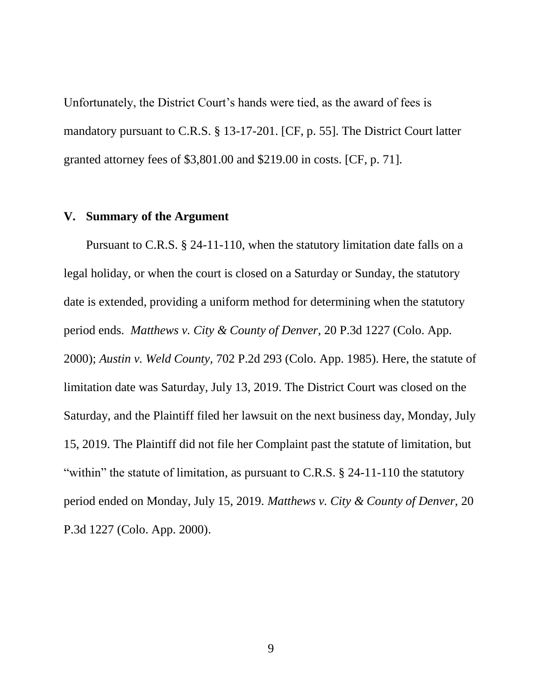Unfortunately, the District Court's hands were tied, as the award of fees is mandatory pursuant to C.R.S. § 13-17-201. [CF, p. 55]. The District Court latter granted attorney fees of \$3,801.00 and \$219.00 in costs. [CF, p. 71].

### **V. Summary of the Argument**

Pursuant to C.R.S. § 24-11-110, when the statutory limitation date falls on a legal holiday, or when the court is closed on a Saturday or Sunday, the statutory date is extended, providing a uniform method for determining when the statutory period ends. *Matthews v. City & County of Denver,* 20 P.3d 1227 (Colo. App. 2000); *Austin v. Weld County,* 702 P.2d 293 (Colo. App. 1985). Here, the statute of limitation date was Saturday, July 13, 2019. The District Court was closed on the Saturday, and the Plaintiff filed her lawsuit on the next business day, Monday, July 15, 2019. The Plaintiff did not file her Complaint past the statute of limitation, but "within" the statute of limitation, as pursuant to C.R.S. § 24-11-110 the statutory period ended on Monday, July 15, 2019. *Matthews v. City & County of Denver,* 20 P.3d 1227 (Colo. App. 2000).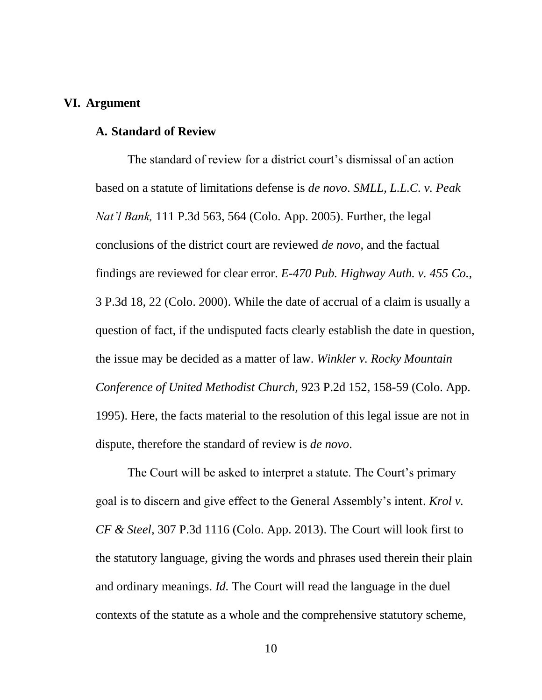### **VI. Argument**

#### **A. Standard of Review**

The standard of review for a district court's dismissal of an action based on a statute of limitations defense is *de novo*. *SMLL, L.L.C. v. Peak Nat'l Bank,* 111 P.3d 563, 564 (Colo. App. 2005). Further, the legal conclusions of the district court are reviewed *de novo*, and the factual findings are reviewed for clear error. *E-470 Pub. Highway Auth. v. 455 Co.,* 3 P.3d 18, 22 (Colo. 2000). While the date of accrual of a claim is usually a question of fact, if the undisputed facts clearly establish the date in question, the issue may be decided as a matter of law. *Winkler v. Rocky Mountain Conference of United Methodist Church,* 923 P.2d 152, 158-59 (Colo. App. 1995). Here, the facts material to the resolution of this legal issue are not in dispute, therefore the standard of review is *de novo*.

The Court will be asked to interpret a statute. The Court's primary goal is to discern and give effect to the General Assembly's intent. *Krol v. CF & Steel,* 307 P.3d 1116 (Colo. App. 2013). The Court will look first to the statutory language, giving the words and phrases used therein their plain and ordinary meanings. *Id.* The Court will read the language in the duel contexts of the statute as a whole and the comprehensive statutory scheme,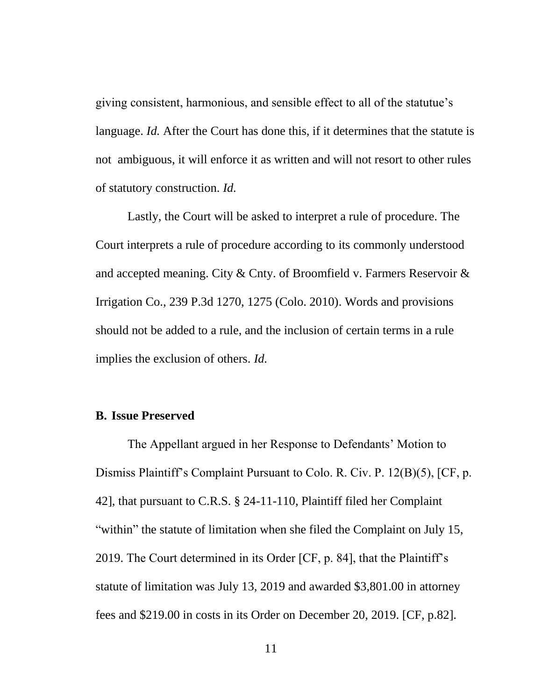giving consistent, harmonious, and sensible effect to all of the statutue's language. *Id.* After the Court has done this, if it determines that the statute is not ambiguous, it will enforce it as written and will not resort to other rules of statutory construction. *Id.*

Lastly, the Court will be asked to interpret a rule of procedure. The Court interprets a rule of procedure according to its commonly understood and accepted meaning. City & Cnty. of Broomfield v. Farmers Reservoir & Irrigation Co., 239 P.3d 1270, 1275 (Colo. 2010). Words and provisions should not be added to a rule, and the inclusion of certain terms in a rule implies the exclusion of others. *Id.*

#### **B. Issue Preserved**

The Appellant argued in her Response to Defendants' Motion to Dismiss Plaintiff's Complaint Pursuant to Colo. R. Civ. P. 12(B)(5), [CF, p. 42], that pursuant to C.R.S. § 24-11-110, Plaintiff filed her Complaint "within" the statute of limitation when she filed the Complaint on July 15, 2019. The Court determined in its Order [CF, p. 84], that the Plaintiff's statute of limitation was July 13, 2019 and awarded \$3,801.00 in attorney fees and \$219.00 in costs in its Order on December 20, 2019. [CF, p.82].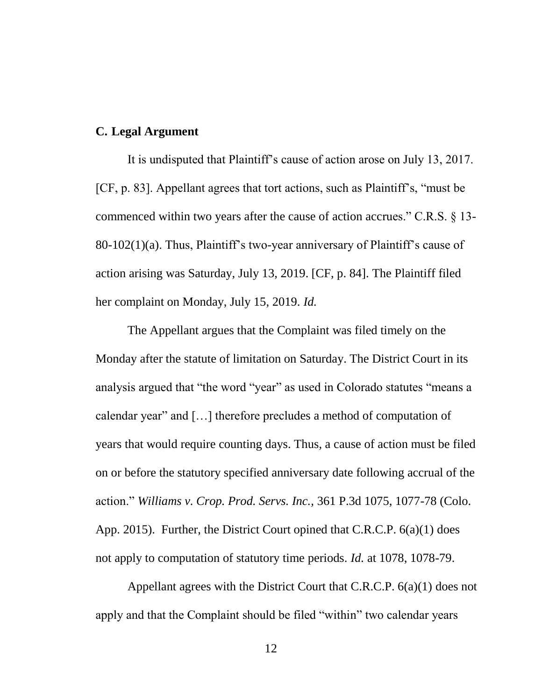#### **C. Legal Argument**

It is undisputed that Plaintiff's cause of action arose on July 13, 2017. [CF, p. 83]. Appellant agrees that tort actions, such as Plaintiff's, "must be commenced within two years after the cause of action accrues." C.R.S. § 13- 80-102(1)(a). Thus, Plaintiff's two-year anniversary of Plaintiff's cause of action arising was Saturday, July 13, 2019. [CF, p. 84]. The Plaintiff filed her complaint on Monday, July 15, 2019. *Id.*

The Appellant argues that the Complaint was filed timely on the Monday after the statute of limitation on Saturday. The District Court in its analysis argued that "the word "year" as used in Colorado statutes "means a calendar year" and […] therefore precludes a method of computation of years that would require counting days. Thus, a cause of action must be filed on or before the statutory specified anniversary date following accrual of the action." *Williams v. Crop. Prod. Servs. Inc.,* 361 P.3d 1075, 1077-78 (Colo. App. 2015). Further, the District Court opined that C.R.C.P. 6(a)(1) does not apply to computation of statutory time periods. *Id.* at 1078, 1078-79.

Appellant agrees with the District Court that C.R.C.P. 6(a)(1) does not apply and that the Complaint should be filed "within" two calendar years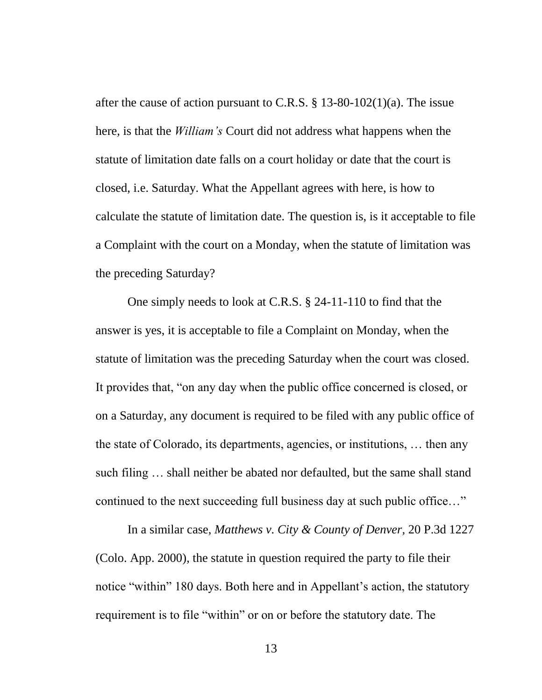after the cause of action pursuant to C.R.S.  $\S$  13-80-102(1)(a). The issue here, is that the *William's* Court did not address what happens when the statute of limitation date falls on a court holiday or date that the court is closed, i.e. Saturday. What the Appellant agrees with here, is how to calculate the statute of limitation date. The question is, is it acceptable to file a Complaint with the court on a Monday, when the statute of limitation was the preceding Saturday?

One simply needs to look at C.R.S. § 24-11-110 to find that the answer is yes, it is acceptable to file a Complaint on Monday, when the statute of limitation was the preceding Saturday when the court was closed. It provides that, "on any day when the public office concerned is closed, or on a Saturday, any document is required to be filed with any public office of the state of Colorado, its departments, agencies, or institutions, … then any such filing … shall neither be abated nor defaulted, but the same shall stand continued to the next succeeding full business day at such public office…"

In a similar case, *Matthews v. City & County of Denver,* 20 P.3d 1227 (Colo. App. 2000), the statute in question required the party to file their notice "within" 180 days. Both here and in Appellant's action, the statutory requirement is to file "within" or on or before the statutory date. The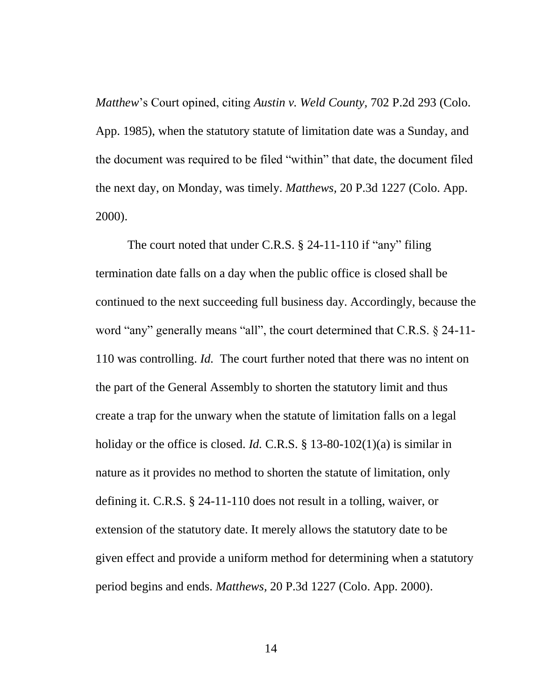*Matthew*'s Court opined, citing *Austin v. Weld County,* 702 P.2d 293 (Colo. App. 1985), when the statutory statute of limitation date was a Sunday, and the document was required to be filed "within" that date, the document filed the next day, on Monday, was timely. *Matthews,* 20 P.3d 1227 (Colo. App. 2000).

The court noted that under C.R.S. § 24-11-110 if "any" filing termination date falls on a day when the public office is closed shall be continued to the next succeeding full business day. Accordingly, because the word "any" generally means "all", the court determined that C.R.S. § 24-11- 110 was controlling. *Id.* The court further noted that there was no intent on the part of the General Assembly to shorten the statutory limit and thus create a trap for the unwary when the statute of limitation falls on a legal holiday or the office is closed. *Id.* C.R.S. § 13-80-102(1)(a) is similar in nature as it provides no method to shorten the statute of limitation, only defining it. C.R.S. § 24-11-110 does not result in a tolling, waiver, or extension of the statutory date. It merely allows the statutory date to be given effect and provide a uniform method for determining when a statutory period begins and ends. *Matthews,* 20 P.3d 1227 (Colo. App. 2000).

14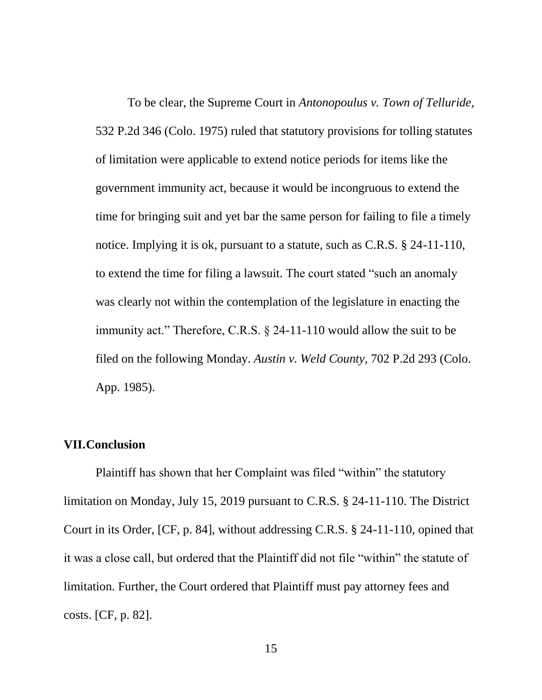To be clear, the Supreme Court in *Antonopoulus v. Town of Telluride,* 532 P.2d 346 (Colo. 1975) ruled that statutory provisions for tolling statutes of limitation were applicable to extend notice periods for items like the government immunity act, because it would be incongruous to extend the time for bringing suit and yet bar the same person for failing to file a timely notice. Implying it is ok, pursuant to a statute, such as C.R.S. § 24-11-110, to extend the time for filing a lawsuit. The court stated "such an anomaly was clearly not within the contemplation of the legislature in enacting the immunity act." Therefore, C.R.S. § 24-11-110 would allow the suit to be filed on the following Monday. *Austin v. Weld County,* 702 P.2d 293 (Colo. App. 1985).

#### **VII.Conclusion**

Plaintiff has shown that her Complaint was filed "within" the statutory limitation on Monday, July 15, 2019 pursuant to C.R.S. § 24-11-110. The District Court in its Order, [CF, p. 84], without addressing C.R.S. § 24-11-110, opined that it was a close call, but ordered that the Plaintiff did not file "within" the statute of limitation. Further, the Court ordered that Plaintiff must pay attorney fees and costs. [CF, p. 82].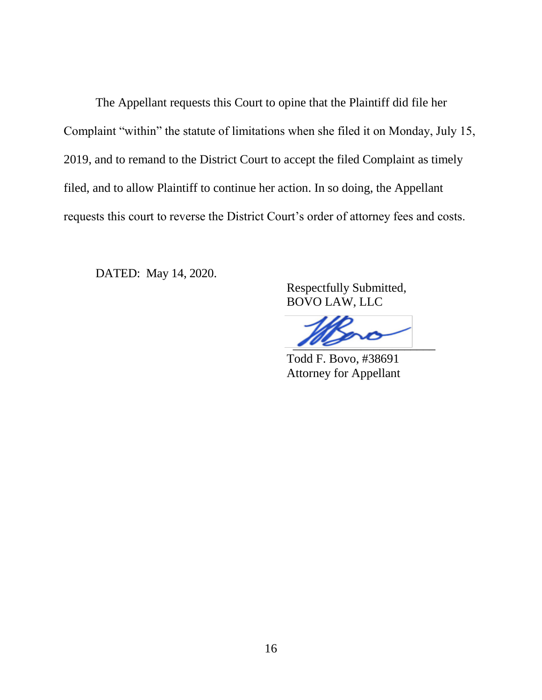The Appellant requests this Court to opine that the Plaintiff did file her Complaint "within" the statute of limitations when she filed it on Monday, July 15, 2019, and to remand to the District Court to accept the filed Complaint as timely filed, and to allow Plaintiff to continue her action. In so doing, the Appellant requests this court to reverse the District Court's order of attorney fees and costs.

DATED: May 14, 2020.

 Respectfully Submitted, BOVO LAW, LLC

 $\frac{1}{100}$ 

 Todd F. Bovo, #38691 Attorney for Appellant